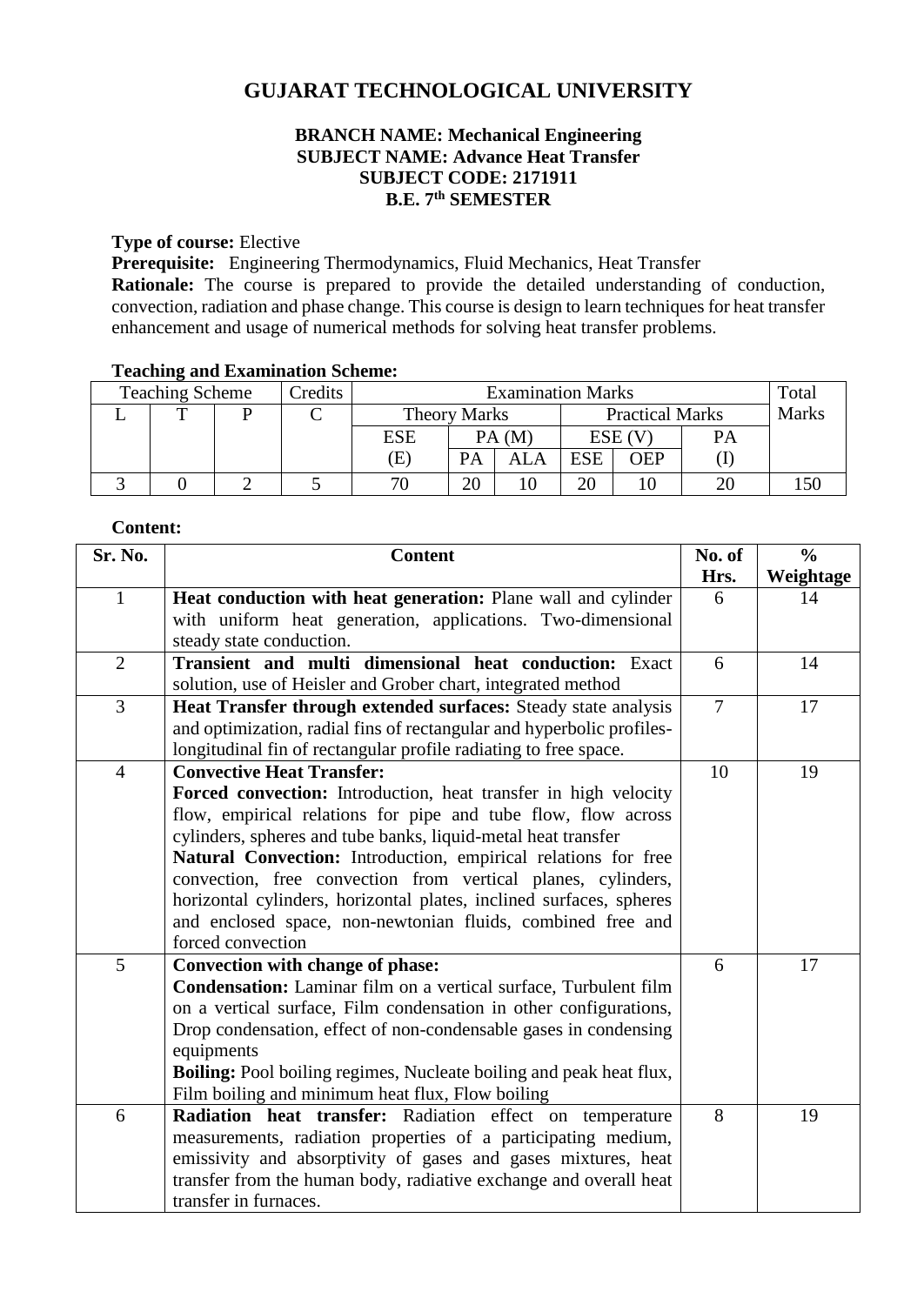# **GUJARAT TECHNOLOGICAL UNIVERSITY**

## **BRANCH NAME: Mechanical Engineering SUBJECT NAME: Advance Heat Transfer SUBJECT CODE: 2171911 B.E. 7 th SEMESTER**

### **Type of course:** Elective

**Prerequisite:** Engineering Thermodynamics, Fluid Mechanics, Heat Transfer **Rationale:** The course is prepared to provide the detailed understanding of conduction, convection, radiation and phase change. This course is design to learn techniques for heat transfer enhancement and usage of numerical methods for solving heat transfer problems.

#### **Teaching and Examination Scheme:**

| <b>Teaching Scheme</b> |   |  | Credits | <b>Examination Marks</b>   |       |                        |            |              | Total |  |
|------------------------|---|--|---------|----------------------------|-------|------------------------|------------|--------------|-------|--|
|                        | m |  |         | <b>Theory Marks</b>        |       | <b>Practical Marks</b> |            | <b>Marks</b> |       |  |
|                        |   |  |         | ESE                        | PA(M) |                        | ESE (V     |              | PА    |  |
|                        |   |  |         | $\left( \mathrm{E}\right)$ | PA    | ALA                    | <b>ESE</b> | OEP          |       |  |
|                        |   |  |         | 71                         | 20    |                        | ററ         |              |       |  |

#### **Content:**

| Sr. No.        | <b>Content</b>                                                                 | No. of         | $\frac{0}{0}$ |
|----------------|--------------------------------------------------------------------------------|----------------|---------------|
|                |                                                                                | Hrs.           | Weightage     |
| $\mathbf{1}$   | Heat conduction with heat generation: Plane wall and cylinder                  | 6              | 14            |
|                | with uniform heat generation, applications. Two-dimensional                    |                |               |
|                | steady state conduction.                                                       |                |               |
| $\overline{2}$ | Transient and multi dimensional heat conduction: Exact                         | 6              | 14            |
|                | solution, use of Heisler and Grober chart, integrated method                   |                |               |
| 3              | Heat Transfer through extended surfaces: Steady state analysis                 | $\overline{7}$ | 17            |
|                | and optimization, radial fins of rectangular and hyperbolic profiles-          |                |               |
|                | longitudinal fin of rectangular profile radiating to free space.               |                |               |
| $\overline{4}$ | <b>Convective Heat Transfer:</b>                                               | 10             | 19            |
|                | Forced convection: Introduction, heat transfer in high velocity                |                |               |
|                | flow, empirical relations for pipe and tube flow, flow across                  |                |               |
|                | cylinders, spheres and tube banks, liquid-metal heat transfer                  |                |               |
|                | Natural Convection: Introduction, empirical relations for free                 |                |               |
|                | convection, free convection from vertical planes, cylinders,                   |                |               |
|                | horizontal cylinders, horizontal plates, inclined surfaces, spheres            |                |               |
|                | and enclosed space, non-newtonian fluids, combined free and                    |                |               |
|                | forced convection                                                              |                |               |
| 5              | Convection with change of phase:                                               | 6              | 17            |
|                | <b>Condensation:</b> Laminar film on a vertical surface, Turbulent film        |                |               |
|                | on a vertical surface, Film condensation in other configurations,              |                |               |
|                | Drop condensation, effect of non-condensable gases in condensing<br>equipments |                |               |
|                | <b>Boiling:</b> Pool boiling regimes, Nucleate boiling and peak heat flux,     |                |               |
|                | Film boiling and minimum heat flux, Flow boiling                               |                |               |
| 6              | Radiation heat transfer: Radiation effect on temperature                       | 8              | 19            |
|                | measurements, radiation properties of a participating medium,                  |                |               |
|                | emissivity and absorptivity of gases and gases mixtures, heat                  |                |               |
|                | transfer from the human body, radiative exchange and overall heat              |                |               |
|                | transfer in furnaces.                                                          |                |               |
|                |                                                                                |                |               |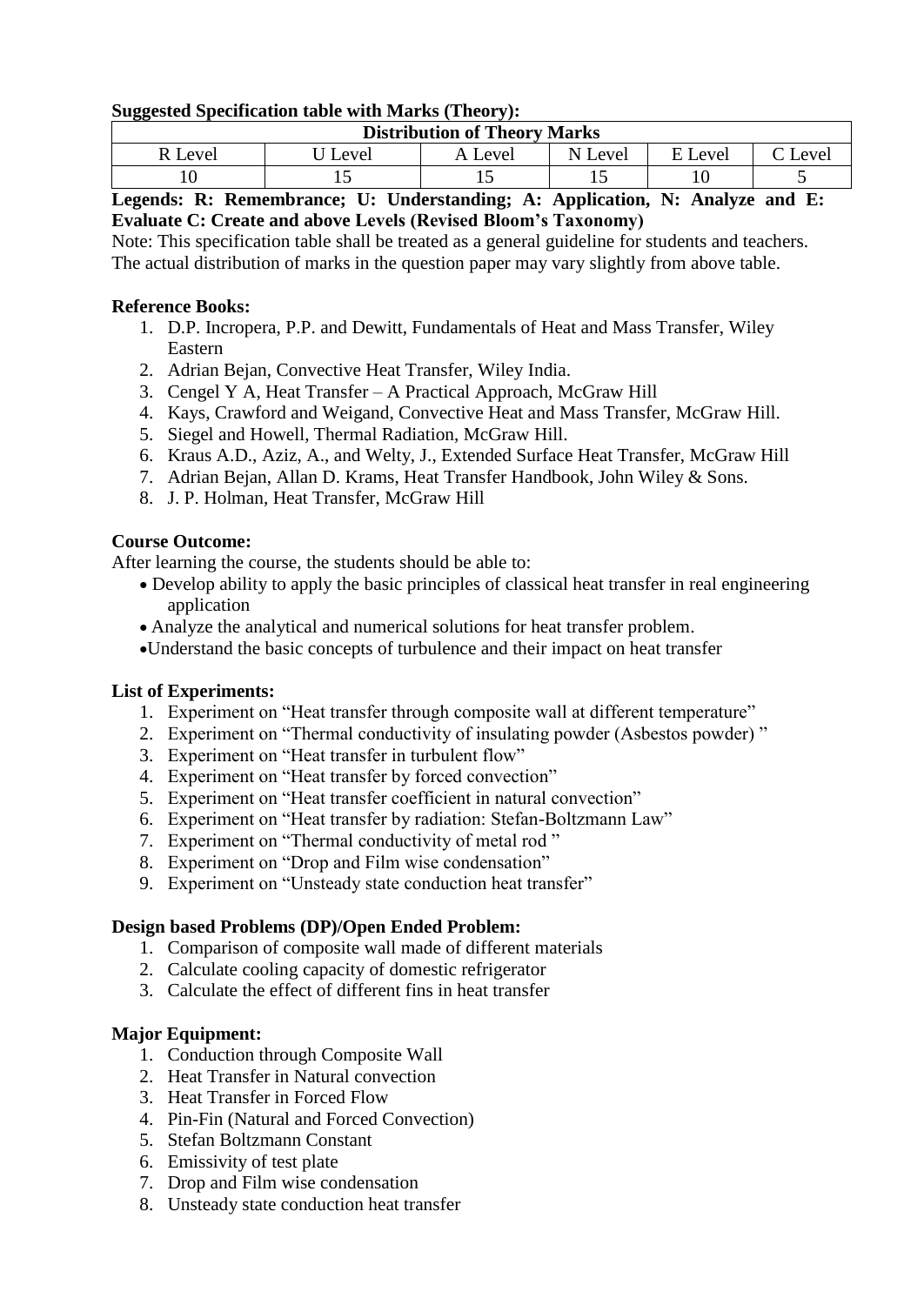## **Suggested Specification table with Marks (Theory):**

| <b>Distribution of Theory Marks</b> |       |         |         |         |       |  |  |  |  |
|-------------------------------------|-------|---------|---------|---------|-------|--|--|--|--|
| R Level                             | Level | A Level | N Level | E Level | Level |  |  |  |  |
|                                     |       |         |         |         | ັ     |  |  |  |  |

## **Legends: R: Remembrance; U: Understanding; A: Application, N: Analyze and E: Evaluate C: Create and above Levels (Revised Bloom's Taxonomy)**

Note: This specification table shall be treated as a general guideline for students and teachers. The actual distribution of marks in the question paper may vary slightly from above table.

## **Reference Books:**

- 1. D.P. Incropera, P.P. and Dewitt, Fundamentals of Heat and Mass Transfer, Wiley Eastern
- 2. Adrian Bejan, Convective Heat Transfer, Wiley India.
- 3. Cengel Y A, Heat Transfer A Practical Approach, McGraw Hill
- 4. Kays, Crawford and Weigand, Convective Heat and Mass Transfer, McGraw Hill.
- 5. Siegel and Howell, Thermal Radiation, McGraw Hill.
- 6. Kraus A.D., Aziz, A., and Welty, J., Extended Surface Heat Transfer, McGraw Hill
- 7. Adrian Bejan, Allan D. Krams, Heat Transfer Handbook, John Wiley & Sons.
- 8. J. P. Holman, Heat Transfer, McGraw Hill

## **Course Outcome:**

After learning the course, the students should be able to:

- Develop ability to apply the basic principles of classical heat transfer in real engineering application
- Analyze the analytical and numerical solutions for heat transfer problem.
- Understand the basic concepts of turbulence and their impact on heat transfer

### **List of Experiments:**

- 1. Experiment on "Heat transfer through composite wall at different temperature"
- 2. Experiment on "Thermal conductivity of insulating powder (Asbestos powder) "
- 3. Experiment on "Heat transfer in turbulent flow"
- 4. Experiment on "Heat transfer by forced convection"
- 5. Experiment on "Heat transfer coefficient in natural convection"
- 6. Experiment on "Heat transfer by radiation: Stefan-Boltzmann Law"
- 7. Experiment on "Thermal conductivity of metal rod "
- 8. Experiment on "Drop and Film wise condensation"
- 9. Experiment on "Unsteady state conduction heat transfer"

# **Design based Problems (DP)/Open Ended Problem:**

- 1. Comparison of composite wall made of different materials
- 2. Calculate cooling capacity of domestic refrigerator
- 3. Calculate the effect of different fins in heat transfer

# **Major Equipment:**

- 1. Conduction through Composite Wall
- 2. Heat Transfer in Natural convection
- 3. Heat Transfer in Forced Flow
- 4. Pin-Fin (Natural and Forced Convection)
- 5. Stefan Boltzmann Constant
- 6. Emissivity of test plate
- 7. Drop and Film wise condensation
- 8. Unsteady state conduction heat transfer